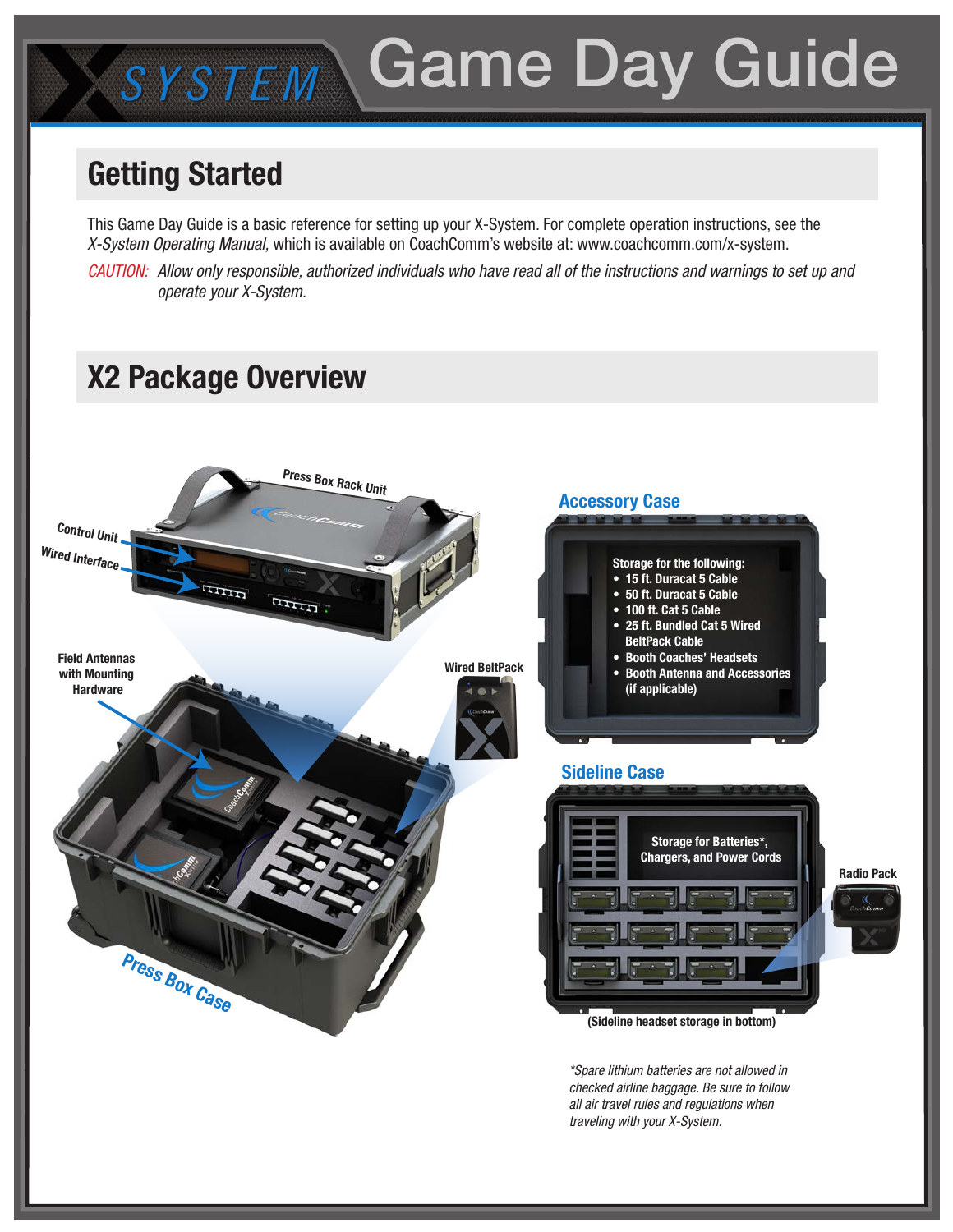# SYSTEM Game Day Guide

## Getting Started

This Game Day Guide is a basic reference for setting up your X-System. For complete operation instructions, see the *X-System Operating Manual,* which is available on CoachComm's website at: www.coachcomm.com/x-system.

*CAUTION: Allow only responsible, authorized individuals who have read all of the instructions and warnings to set up and operate your X-System.* 

## X2 Package Overview

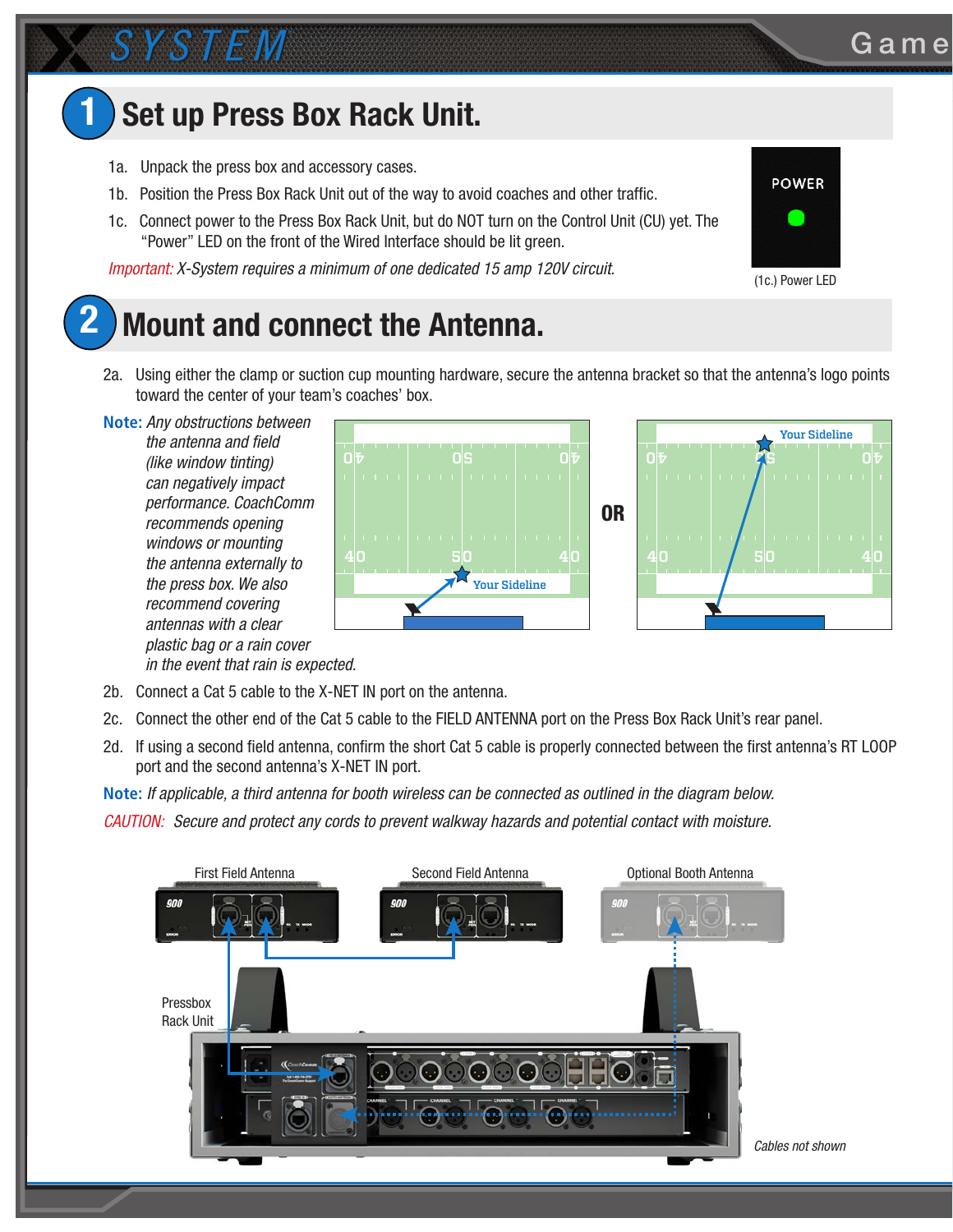# Set up Press Box Rack Unit.

1a. Unpack the press box and accessory cases.

STFM

1

- 1b. Position the Press Box Rack Unit out of the way to avoid coaches and other traffic.
- 1c. Connect power to the Press Box Rack Unit, but do NOT turn on the Control Unit (CU) yet. The "Power" LED on the front of the Wired Interface should be lit green.

*Important: X-System requires a minimum of one dedicated 15 amp 120V circuit.*



(1c.) Power LED

#### Mount and connect the Antenna. 2

- 2a. Using either the clamp or suction cup mounting hardware, secure the antenna bracket so that the antenna's logo points toward the center of your team's coaches' box.
- **Note:** *Any obstructions between the antenna and field (like window tinting) can negatively impact performance. CoachComm recommends opening windows or mounting the antenna externally to the press box. We also recommend covering antennas with a clear plastic bag or a rain cover*





*in the event that rain is expected.*

- 2b. Connect a Cat 5 cable to the X-NET IN port on the antenna.
- 2c. Connect the other end of the Cat 5 cable to the FIELD ANTENNA port on the Press Box Rack Unit's rear panel.
- 2d. If using a second field antenna, confirm the short Cat 5 cable is properly connected between the first antenna's RT LOOP port and the second antenna's X-NET IN port.

**Note:** *If applicable, a third antenna for booth wireless can be connected as outlined in the diagram below.*

*CAUTION: Secure and protect any cords to prevent walkway hazards and potential contact with moisture.*

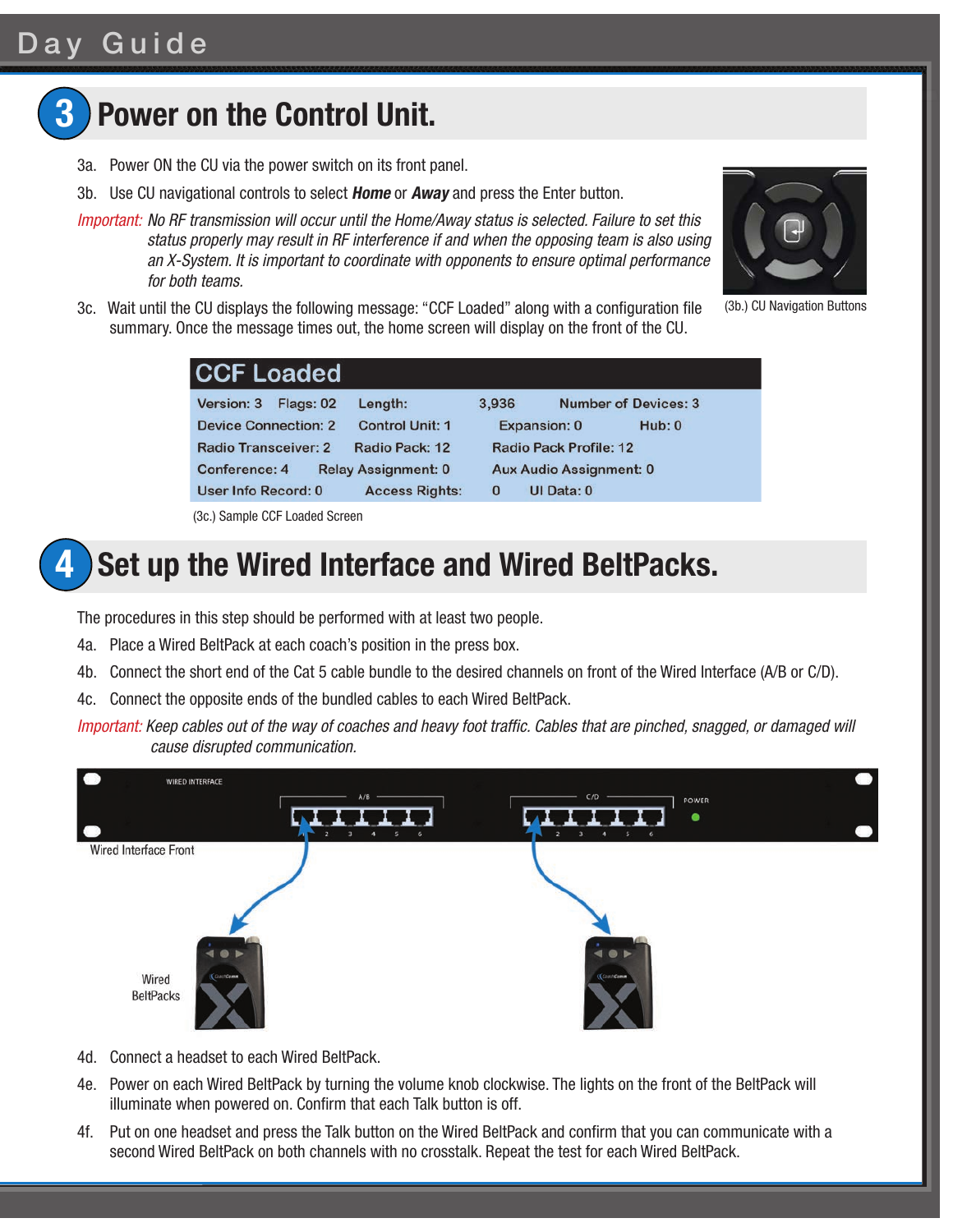#### Day Guide



# **Power on the Control Unit.**

- 3a. Power ON the CU via the power switch on its front panel.
- 3b. Use CU navigational controls to select **Home** or **Away** and press the Enter button.
- *Important: No RF transmission will occur until the Home/Away status is selected. Failure to set this status properly may result in RF interference if and when the opposing team is also using an X-System. It is important to coordinate with opponents to ensure optimal performance for both teams.*
- 3c. Wait until the CU displays the following message: "CCF Loaded" along with a configuration file summary. Once the message times out, the home screen will display on the front of the CU.



(3b.) CU Navigation Buttons

| <b>CCF Loaded</b>                                     |                       |                               |            |                             |  |
|-------------------------------------------------------|-----------------------|-------------------------------|------------|-----------------------------|--|
| Version: 3<br>Flags: 02                               | Length:               | 3,936                         |            | <b>Number of Devices: 3</b> |  |
| <b>Control Unit: 1</b><br><b>Device Connection: 2</b> |                       | Expansion: 0                  |            | Hub: 0                      |  |
| <b>Radio Transceiver: 2</b><br>Radio Pack: 12         |                       | <b>Radio Pack Profile: 12</b> |            |                             |  |
| <b>Relay Assignment: 0</b><br>Conference: 4           |                       | Aux Audio Assignment: 0       |            |                             |  |
| User Info Record: 0                                   | <b>Access Rights:</b> | $\bf{0}$                      | UI Data: 0 |                             |  |
| (3c.) Sample CCF Loaded Screen                        |                       |                               |            |                             |  |

## Set up the Wired Interface and Wired BeltPacks.

The procedures in this step should be performed with at least two people.

- 4a. Place a Wired BeltPack at each coach's position in the press box.
- 4b. Connect the short end of the Cat 5 cable bundle to the desired channels on front of the Wired Interface (A/B or C/D).
- 4c. Connect the opposite ends of the bundled cables to each Wired BeltPack.

*Important: Keep cables out of the way of coaches and heavy foot traffic. Cables that are pinched, snagged, or damaged will cause disrupted communication.*



- 4d. Connect a headset to each Wired BeltPack.
- 4e. Power on each Wired BeltPack by turning the volume knob clockwise. The lights on the front of the BeltPack will illuminate when powered on. Confirm that each Talk button is off.
- 4f. Put on one headset and press the Talk button on the Wired BeltPack and confirm that you can communicate with a second Wired BeltPack on both channels with no crosstalk. Repeat the test for each Wired BeltPack.